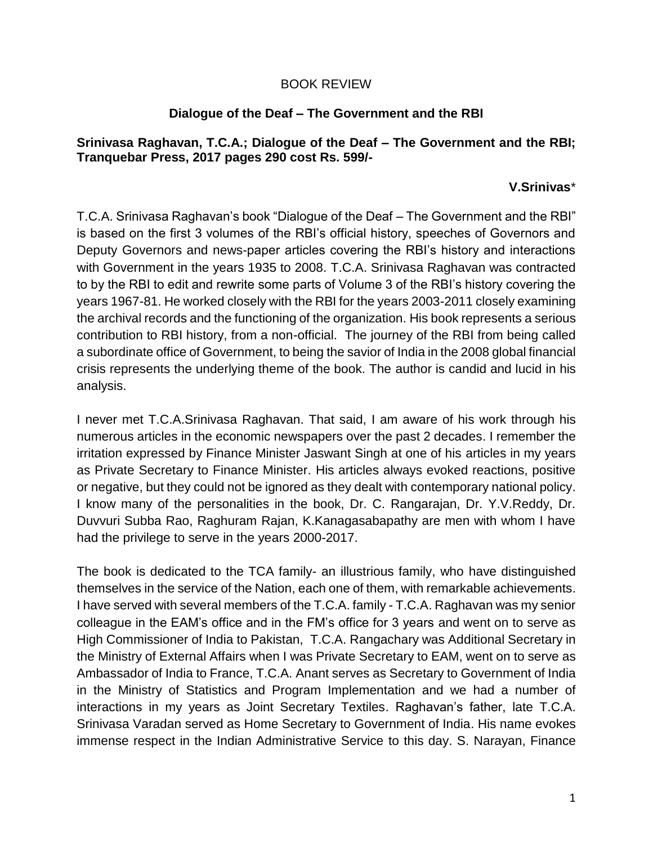## BOOK REVIEW

## **Dialogue of the Deaf – The Government and the RBI**

## **Srinivasa Raghavan, T.C.A.; Dialogue of the Deaf – The Government and the RBI; Tranquebar Press, 2017 pages 290 cost Rs. 599/-**

## **V.Srinivas**\*

T.C.A. Srinivasa Raghavan's book "Dialogue of the Deaf – The Government and the RBI" is based on the first 3 volumes of the RBI's official history, speeches of Governors and Deputy Governors and news-paper articles covering the RBI's history and interactions with Government in the years 1935 to 2008. T.C.A. Srinivasa Raghavan was contracted to by the RBI to edit and rewrite some parts of Volume 3 of the RBI's history covering the years 1967-81. He worked closely with the RBI for the years 2003-2011 closely examining the archival records and the functioning of the organization. His book represents a serious contribution to RBI history, from a non-official. The journey of the RBI from being called a subordinate office of Government, to being the savior of India in the 2008 global financial crisis represents the underlying theme of the book. The author is candid and lucid in his analysis.

I never met T.C.A.Srinivasa Raghavan. That said, I am aware of his work through his numerous articles in the economic newspapers over the past 2 decades. I remember the irritation expressed by Finance Minister Jaswant Singh at one of his articles in my years as Private Secretary to Finance Minister. His articles always evoked reactions, positive or negative, but they could not be ignored as they dealt with contemporary national policy. I know many of the personalities in the book, Dr. C. Rangarajan, Dr. Y.V.Reddy, Dr. Duvvuri Subba Rao, Raghuram Rajan, K.Kanagasabapathy are men with whom I have had the privilege to serve in the years 2000-2017.

The book is dedicated to the TCA family- an illustrious family, who have distinguished themselves in the service of the Nation, each one of them, with remarkable achievements. I have served with several members of the T.C.A. family - T.C.A. Raghavan was my senior colleague in the EAM's office and in the FM's office for 3 years and went on to serve as High Commissioner of India to Pakistan, T.C.A. Rangachary was Additional Secretary in the Ministry of External Affairs when I was Private Secretary to EAM, went on to serve as Ambassador of India to France, T.C.A. Anant serves as Secretary to Government of India in the Ministry of Statistics and Program Implementation and we had a number of interactions in my years as Joint Secretary Textiles. Raghavan's father, late T.C.A. Srinivasa Varadan served as Home Secretary to Government of India. His name evokes immense respect in the Indian Administrative Service to this day. S. Narayan, Finance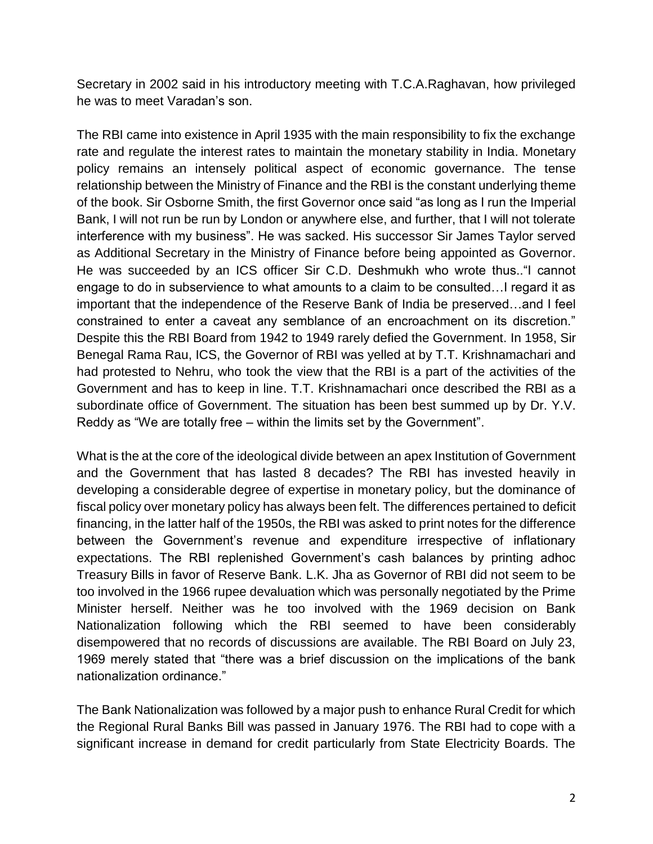Secretary in 2002 said in his introductory meeting with T.C.A.Raghavan, how privileged he was to meet Varadan's son.

The RBI came into existence in April 1935 with the main responsibility to fix the exchange rate and regulate the interest rates to maintain the monetary stability in India. Monetary policy remains an intensely political aspect of economic governance. The tense relationship between the Ministry of Finance and the RBI is the constant underlying theme of the book. Sir Osborne Smith, the first Governor once said "as long as I run the Imperial Bank, I will not run be run by London or anywhere else, and further, that I will not tolerate interference with my business". He was sacked. His successor Sir James Taylor served as Additional Secretary in the Ministry of Finance before being appointed as Governor. He was succeeded by an ICS officer Sir C.D. Deshmukh who wrote thus.."I cannot engage to do in subservience to what amounts to a claim to be consulted…I regard it as important that the independence of the Reserve Bank of India be preserved…and I feel constrained to enter a caveat any semblance of an encroachment on its discretion." Despite this the RBI Board from 1942 to 1949 rarely defied the Government. In 1958, Sir Benegal Rama Rau, ICS, the Governor of RBI was yelled at by T.T. Krishnamachari and had protested to Nehru, who took the view that the RBI is a part of the activities of the Government and has to keep in line. T.T. Krishnamachari once described the RBI as a subordinate office of Government. The situation has been best summed up by Dr. Y.V. Reddy as "We are totally free – within the limits set by the Government".

What is the at the core of the ideological divide between an apex Institution of Government and the Government that has lasted 8 decades? The RBI has invested heavily in developing a considerable degree of expertise in monetary policy, but the dominance of fiscal policy over monetary policy has always been felt. The differences pertained to deficit financing, in the latter half of the 1950s, the RBI was asked to print notes for the difference between the Government's revenue and expenditure irrespective of inflationary expectations. The RBI replenished Government's cash balances by printing adhoc Treasury Bills in favor of Reserve Bank. L.K. Jha as Governor of RBI did not seem to be too involved in the 1966 rupee devaluation which was personally negotiated by the Prime Minister herself. Neither was he too involved with the 1969 decision on Bank Nationalization following which the RBI seemed to have been considerably disempowered that no records of discussions are available. The RBI Board on July 23, 1969 merely stated that "there was a brief discussion on the implications of the bank nationalization ordinance."

The Bank Nationalization was followed by a major push to enhance Rural Credit for which the Regional Rural Banks Bill was passed in January 1976. The RBI had to cope with a significant increase in demand for credit particularly from State Electricity Boards. The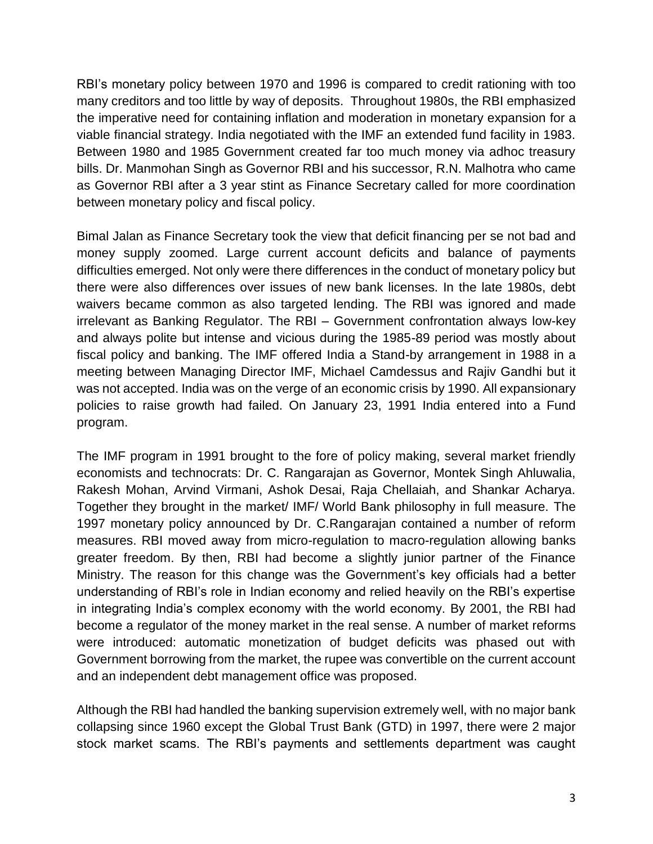RBI's monetary policy between 1970 and 1996 is compared to credit rationing with too many creditors and too little by way of deposits. Throughout 1980s, the RBI emphasized the imperative need for containing inflation and moderation in monetary expansion for a viable financial strategy. India negotiated with the IMF an extended fund facility in 1983. Between 1980 and 1985 Government created far too much money via adhoc treasury bills. Dr. Manmohan Singh as Governor RBI and his successor, R.N. Malhotra who came as Governor RBI after a 3 year stint as Finance Secretary called for more coordination between monetary policy and fiscal policy.

Bimal Jalan as Finance Secretary took the view that deficit financing per se not bad and money supply zoomed. Large current account deficits and balance of payments difficulties emerged. Not only were there differences in the conduct of monetary policy but there were also differences over issues of new bank licenses. In the late 1980s, debt waivers became common as also targeted lending. The RBI was ignored and made irrelevant as Banking Regulator. The RBI – Government confrontation always low-key and always polite but intense and vicious during the 1985-89 period was mostly about fiscal policy and banking. The IMF offered India a Stand-by arrangement in 1988 in a meeting between Managing Director IMF, Michael Camdessus and Rajiv Gandhi but it was not accepted. India was on the verge of an economic crisis by 1990. All expansionary policies to raise growth had failed. On January 23, 1991 India entered into a Fund program.

The IMF program in 1991 brought to the fore of policy making, several market friendly economists and technocrats: Dr. C. Rangarajan as Governor, Montek Singh Ahluwalia, Rakesh Mohan, Arvind Virmani, Ashok Desai, Raja Chellaiah, and Shankar Acharya. Together they brought in the market/ IMF/ World Bank philosophy in full measure. The 1997 monetary policy announced by Dr. C.Rangarajan contained a number of reform measures. RBI moved away from micro-regulation to macro-regulation allowing banks greater freedom. By then, RBI had become a slightly junior partner of the Finance Ministry. The reason for this change was the Government's key officials had a better understanding of RBI's role in Indian economy and relied heavily on the RBI's expertise in integrating India's complex economy with the world economy. By 2001, the RBI had become a regulator of the money market in the real sense. A number of market reforms were introduced: automatic monetization of budget deficits was phased out with Government borrowing from the market, the rupee was convertible on the current account and an independent debt management office was proposed.

Although the RBI had handled the banking supervision extremely well, with no major bank collapsing since 1960 except the Global Trust Bank (GTD) in 1997, there were 2 major stock market scams. The RBI's payments and settlements department was caught